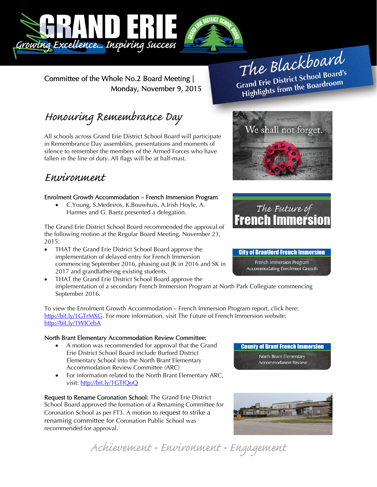

Committee of the Whole No.2 Board Meeting | Monday, November 9, 2015

# The Blackboard The Burnor<br>Grand Erie District School Board's<br>Little from the Boardroom rand Erie District School Board<br>Highlights from the Boardroom

# Honouring Remembrance Day

All schools across Grand Erie District School Board will participate in Remembrance Day assemblies, presentations and moments of silence to remember the members of the Armed Forces who have fallen in the line of duty. All flags will be at half-mast.

## Environment

### Enrolment Growth Accommodation – French Immersion Program

 C.Young, S.Medeiros, K.Bouwhuis, A.Irish Hoyle, A. Harmes and G. Baetz presented a delegation.

The Grand Erie District School Board recommended the approval of the following motion at the Regular Board Meeting, November 23, 2015:

- THAT the Grand Erie District School Board approve the implementation of delayed entry for French Immersion commencing September 2016, phasing out JK in 2016 and SK in 2017 and grandfathering existing students.
- THAT the Grand Erie District School Board approve the implementation of a secondary French Immersion Program at North Park Collegiate commencing September 2016.

To view the Enrolment Growth Accommodation – French Immersion Program report, click here: http://bit.ly/1GTrMXG. For more information, visit The Future of French Immersion website: http://bit.ly/1WICebA

#### North Brant Elementary Accommodation Review Committee:

- A motion was recommended for approval that the Grand Erie District School Board include Burford District Elementary School into the North Brant Elementary Accommodation Review Committee (ARC)
- For information related to the North Brant Elementary ARC, visit: http://bit.ly/1GTfQoQ

Request to Rename Coronation School: The Grand Erie District School Board approved the formation of a Renaming Committee for Coronation School as per FT3. A motion to request to strike a renaming committee for Coronation Public School was recommended for approval.



Achievement • Environment • Engagement





#### **City of Brantford French Immersion**

French Immersion Program Accommodating Enrolment Growth

**County of Brant French Immersion** North Brant Elementary **Accommodation Review**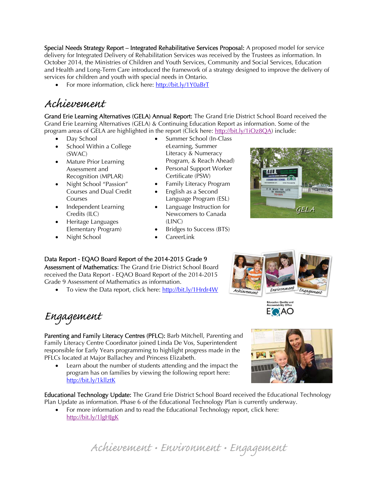Special Needs Strategy Report – Integrated Rehabilitative Services Proposal: A proposed model for service delivery for Integrated Delivery of Rehabilitation Services was received by the Trustees as information. In October 2014, the Ministries of Children and Youth Services, Community and Social Services, Education and Health and Long-Term Care introduced the framework of a strategy designed to improve the delivery of services for children and youth with special needs in Ontario.

• For more information, click here: http://bit.ly/1Y0aBrT

## Achievement

Grand Erie Learning Alternatives (GELA) Annual Report: The Grand Erie District School Board received the Grand Erie Learning Alternatives (GELA) & Continuing Education Report as information. Some of the program areas of GELA are highlighted in the report (Click here: http://bit.ly/1iOz8OA) include:

- Day School
- School Within a College (SWAC)
- Mature Prior Learning Assessment and Recognition (MPLAR)
- Night School "Passion" Courses and Dual Credit Courses
- Independent Learning Credits (ILC)
- Heritage Languages Elementary Program) Night School
- Summer School (In-Class eLearning, Summer Literacy & Numeracy Program, & Reach Ahead)
- Personal Support Worker Certificate (PSW)
- Family Literacy Program
- English as a Second Language Program (ESL)
- Language Instruction for Newcomers to Canada (LINC)
- Bridges to Success (BTS)
- **CareerLink**

### Data Report - EQAO Board Report of the 2014-2015 Grade 9

Assessment of Mathematics: The Grand Erie District School Board received the Data Report - EQAO Board Report of the 2014-2015 Grade 9 Assessment of Mathematics as information.

• To view the Data report, click here: http://bit.ly/1Hrdr4W

Engagement

Parenting and Family Literacy Centres (PFLC): Barb Mitchell, Parenting and Family Literacy Centre Coordinator joined Linda De Vos, Superintendent responsible for Early Years programming to highlight progress made in the PFLCs located at Major Ballachey and Princess Elizabeth.

 Learn about the number of students attending and the impact the program has on families by viewing the following report here: http://bit.ly/1kllztK

Educational Technology Update: The Grand Erie District School Board received the Educational Technology Plan Update as information. Phase 6 of the Educational Technology Plan is currently underway.

• For more information and to read the Educational Technology report, click here: http://bit.ly/1lgHJgK



Environment

Achievement



Achievement • Environment • Engagement